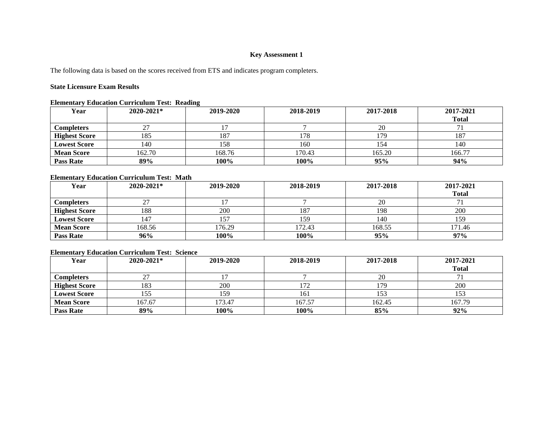## **Key Assessment 1**

The following data is based on the scores received from ETS and indicates program completers.

## **State Licensure Exam Results**

#### **Elementary Education Curriculum Test: Reading**

| Year                 | $2020 - 2021*$ | 2019-2020 | 2018-2019 | 2017-2018 | 2017-2021    |
|----------------------|----------------|-----------|-----------|-----------|--------------|
|                      |                |           |           |           | <b>Total</b> |
| <b>Completers</b>    |                |           |           | 20        |              |
| <b>Highest Score</b> | 185            | 187       | 178       | 17Q       | 187          |
| <b>Lowest Score</b>  | 140            | 158       | 160       | 154       | 140          |
| <b>Mean Score</b>    | 162.70         | 168.76    | 170.43    | 165.20    | 166.77       |
| <b>Pass Rate</b>     | 89%            | 100%      | 100%      | 95%       | 94%          |

## **Elementary Education Curriculum Test: Math**

| Year                 | 2020-2021* | 2019-2020 | 2018-2019 | 2017-2018 | 2017-2021    |
|----------------------|------------|-----------|-----------|-----------|--------------|
|                      |            |           |           |           | <b>Total</b> |
| <b>Completers</b>    |            |           |           | 20        |              |
| <b>Highest Score</b> | 188        | 200       | 187       | 198       | 200          |
| <b>Lowest Score</b>  | 147        | 157       | 159       | 140       | 159          |
| <b>Mean Score</b>    | 168.56     | 176.29    | 172.43    | 168.55    | 171.46       |
| <b>Pass Rate</b>     | 96%        | 100%      | 100%      | 95%       | 97%          |

## **Elementary Education Curriculum Test: Science**

| Year                 | $2020 - 2021*$ | 2019-2020 | 2018-2019 | 2017-2018 | 2017-2021<br><b>Total</b> |
|----------------------|----------------|-----------|-----------|-----------|---------------------------|
| Completers           |                |           |           | 20        |                           |
| <b>Highest Score</b> | 183            | 200       | 172       | 17C       | 200                       |
| <b>Lowest Score</b>  | 155            | 159       | 161       | 153       | 153                       |
| <b>Mean Score</b>    | 167.67         | 173.47    | 167.57    | 162.45    | 167.79                    |
| <b>Pass Rate</b>     | 89%            | 100%      | 100%      | 85%       | 92%                       |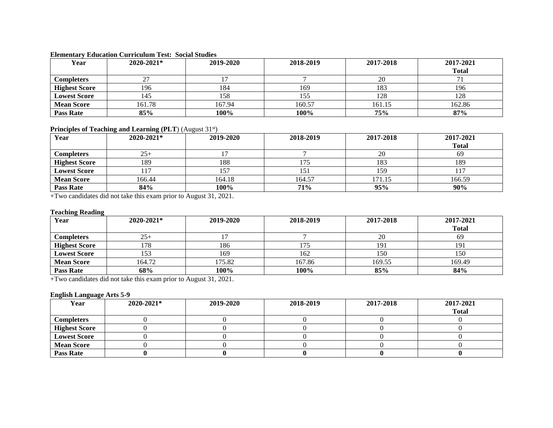## **Elementary Education Curriculum Test: Social Studies**

| Year                 | $2020 - 2021*$ | 2019-2020 | 2018-2019 | 2017-2018 | 2017-2021    |
|----------------------|----------------|-----------|-----------|-----------|--------------|
|                      |                |           |           |           | <b>Total</b> |
| <b>Completers</b>    |                |           |           | 20        |              |
| <b>Highest Score</b> | 196            | 184       | 169       | 183       | 196          |
| <b>Lowest Score</b>  | 145            | 158       | 155       | 128       | 128          |
| <b>Mean Score</b>    | 161.78         | 167.94    | 160.57    | 161.15    | 162.86       |
| <b>Pass Rate</b>     | 85%            | 100%      | 100%      | 75%       | 87%          |

# Principles of Teaching and Learning (PLT) (August 31<sup>st</sup>)

| Year                 | 2020-2021* | 2019-2020 | 2018-2019 | 2017-2018 | 2017-2021    |
|----------------------|------------|-----------|-----------|-----------|--------------|
|                      |            |           |           |           | <b>Total</b> |
| <b>Completers</b>    | $25+$      |           |           | 20        | 69           |
| <b>Highest Score</b> | 189        | 188       | 175       | 183       | 189          |
| <b>Lowest Score</b>  |            | 157       | 151       | 159       |              |
| <b>Mean Score</b>    | 166.44     | 164.18    | 164.57    | 171.15    | 166.59       |
| <b>Pass Rate</b>     | 84%        | 100%      | 71%       | 95%       | 90%          |

+Two candidates did not take this exam prior to August 31, 2021.

#### **Teaching Reading**

| Year                 | 2020-2021* | 2019-2020 | 2018-2019 | 2017-2018 | 2017-2021    |
|----------------------|------------|-----------|-----------|-----------|--------------|
|                      |            |           |           |           | <b>Total</b> |
| <b>Completers</b>    | $25+$      |           |           | 20        | 69           |
| <b>Highest Score</b> | 78         | 186       |           | 19        | 191          |
| <b>Lowest Score</b>  | 153        | 169       | 162       | 150       | 150          |
| <b>Mean Score</b>    | 164.72     | 175.82    | 167.86    | 169.55    | 169.49       |
| <b>Pass Rate</b>     | 68%        | 100%      | 100%      | 85%       | 84%          |

+Two candidates did not take this exam prior to August 31, 2021.

## **English Language Arts 5-9**

| Year                 | $2020 - 2021*$ | 2019-2020 | 2018-2019 | 2017-2018 | 2017-2021    |
|----------------------|----------------|-----------|-----------|-----------|--------------|
|                      |                |           |           |           | <b>Total</b> |
| <b>Completers</b>    |                |           |           |           |              |
| <b>Highest Score</b> |                |           |           |           |              |
| <b>Lowest Score</b>  |                |           |           |           |              |
| <b>Mean Score</b>    |                |           |           |           |              |
| <b>Pass Rate</b>     |                |           |           |           |              |